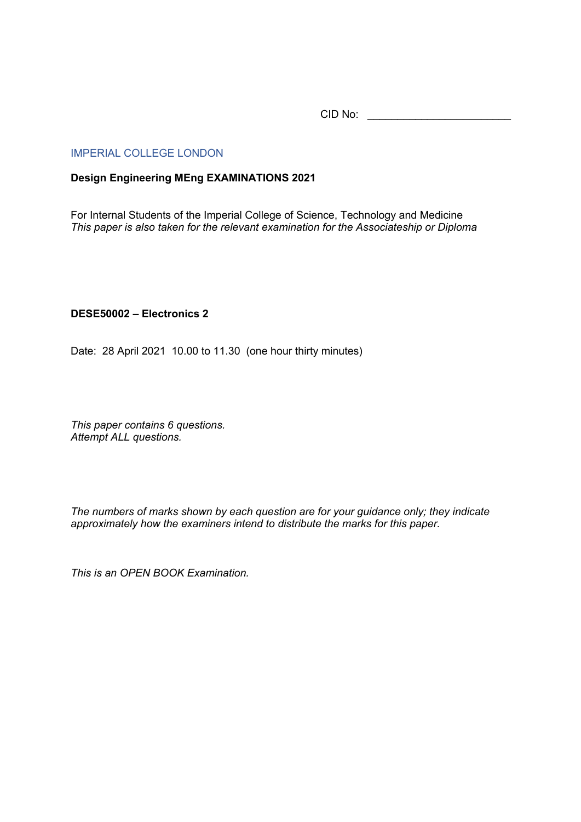CID No: \_\_\_\_\_\_\_\_\_\_\_\_\_\_\_\_\_\_\_\_\_\_\_\_

#### IMPERIAL COLLEGE LONDON

### **Design Engineering MEng EXAMINATIONS 2021**

For Internal Students of the Imperial College of Science, Technology and Medicine *This paper is also taken for the relevant examination for the Associateship or Diploma*

## **DESE50002 – Electronics 2**

Date: 28 April 2021 10.00 to 11.30 (one hour thirty minutes)

*This paper contains 6 questions. Attempt ALL questions.* 

*The numbers of marks shown by each question are for your guidance only; they indicate approximately how the examiners intend to distribute the marks for this paper.*

*This is an OPEN BOOK Examination.*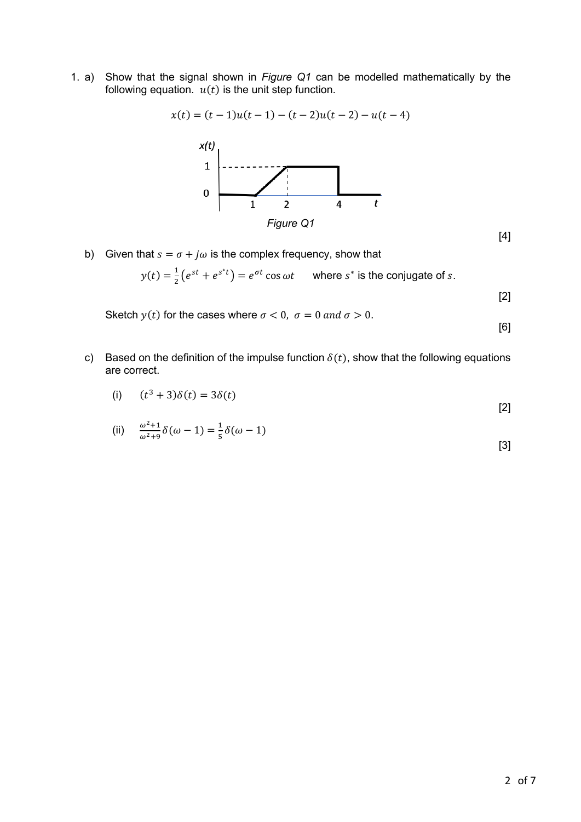1. a) Show that the signal shown in *Figure Q1* can be modelled mathematically by the following equation.  $u(t)$  is the unit step function.

$$
x(t) = (t-1)u(t-1) - (t-2)u(t-2) - u(t-4)
$$



b) Given that  $s = \sigma + j\omega$  is the complex frequency, show that

$$
y(t) = \frac{1}{2} \left( e^{st} + e^{s^*t} \right) = e^{\sigma t} \cos \omega t \quad \text{where } s^* \text{ is the conjugate of } s.
$$

[2]

[4]

Sketch  $y(t)$  for the cases where  $\sigma < 0$ ,  $\sigma = 0$  and  $\sigma > 0$ .

[6]

c) Based on the definition of the impulse function  $\delta(t)$ , show that the following equations are correct.

(i) 
$$
(t^3 + 3)\delta(t) = 3\delta(t)
$$
 [2]

(ii) 
$$
\frac{\omega^2 + 1}{\omega^2 + 9} \delta(\omega - 1) = \frac{1}{5} \delta(\omega - 1)
$$
 [3]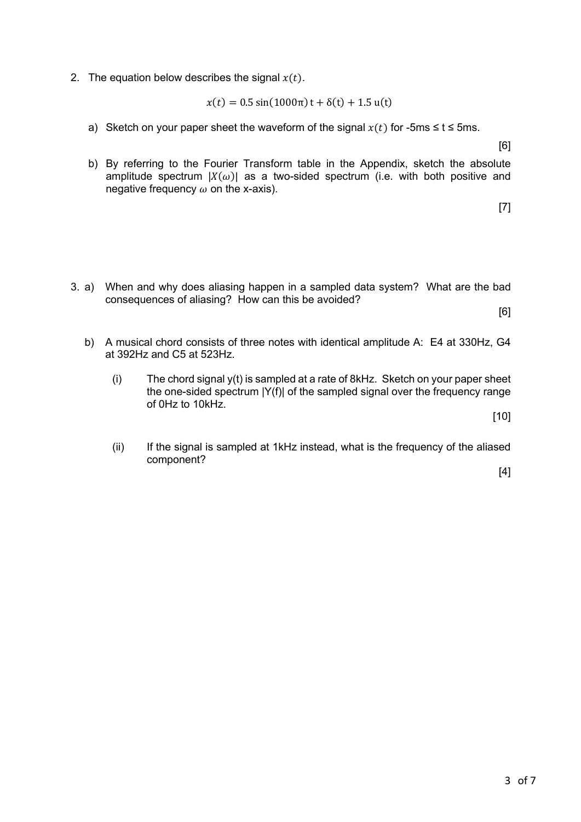2. The equation below describes the signal  $x(t)$ .

$$
x(t) = 0.5 \sin(1000\pi) t + \delta(t) + 1.5 u(t)
$$

a) Sketch on your paper sheet the waveform of the signal  $x(t)$  for -5ms  $\le t \le 5$ ms.

[6]

b) By referring to the Fourier Transform table in the Appendix, sketch the absolute amplitude spectrum  $|X(\omega)|$  as a two-sided spectrum (i.e. with both positive and negative frequency  $\omega$  on the x-axis).

[7]

3. a) When and why does aliasing happen in a sampled data system? What are the bad consequences of aliasing? How can this be avoided?

[6]

- b) A musical chord consists of three notes with identical amplitude A: E4 at 330Hz, G4 at 392Hz and C5 at 523Hz.
	- (i) The chord signal y(t) is sampled at a rate of 8kHz. Sketch on your paper sheet the one-sided spectrum |Y(f)| of the sampled signal over the frequency range of 0Hz to 10kHz.

[10]

(ii) If the signal is sampled at 1kHz instead, what is the frequency of the aliased component?

[4]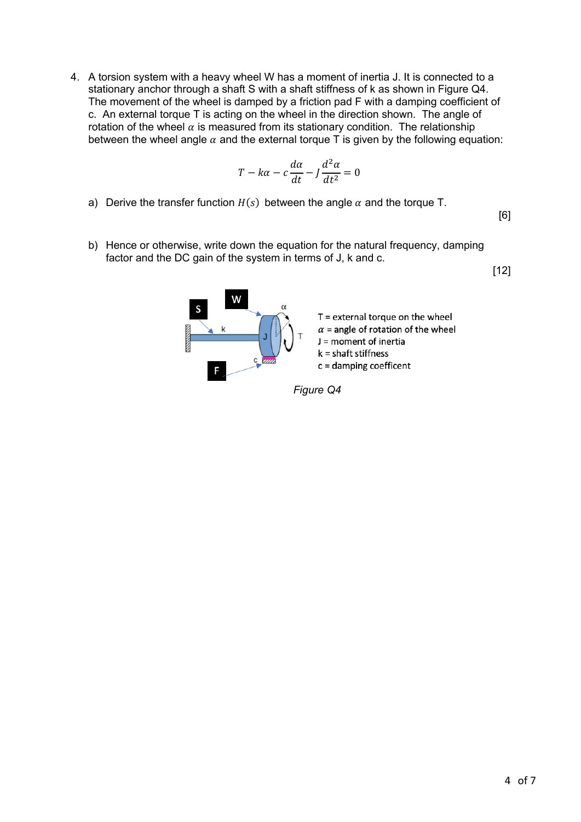4. A torsion system with a heavy wheel W has a moment of inertia J. It is connected to a stationary anchor through a shaft S with a shaft stiffness of k as shown in Figure Q4. The movement of the wheel is damped by a friction pad F with a damping coefficient of c. An external torque T is acting on the wheel in the direction shown. The angle of rotation of the wheel  $\alpha$  is measured from its stationary condition. The relationship between the wheel angle  $\alpha$  and the external torque T is given by the following equation:

$$
T - k\alpha - c\frac{d\alpha}{dt} - J\frac{d^2\alpha}{dt^2} = 0
$$

a) Derive the transfer function  $H(s)$  between the angle  $\alpha$  and the torque T.

[6]

b) Hence or otherwise, write down the equation for the natural frequency, damping factor and the DC gain of the system in terms of J, k and c.

[12]

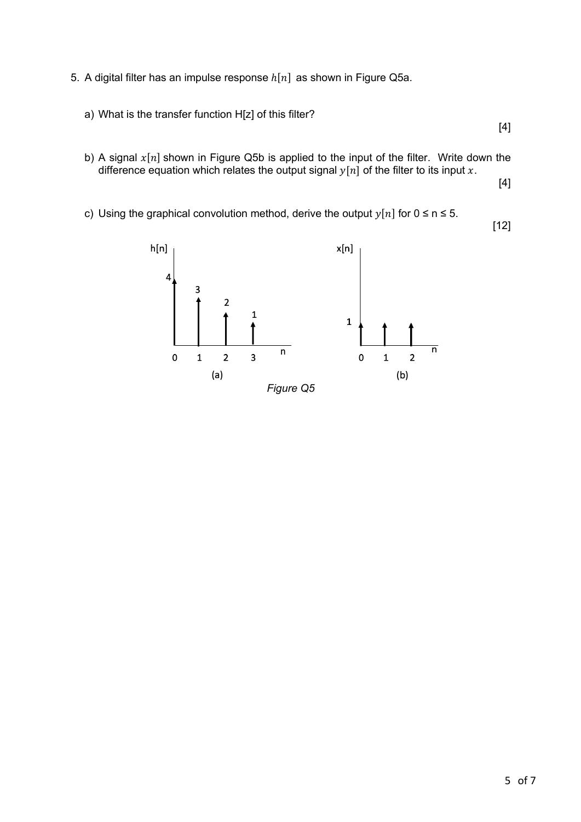- 5. A digital filter has an impulse response  $h[n]$  as shown in Figure Q5a.
	- a) What is the transfer function H[z] of this filter?

[4]

b) A signal  $x[n]$  shown in Figure Q5b is applied to the input of the filter. Write down the difference equation which relates the output signal  $y[n]$  of the filter to its input x.

[4]

c) Using the graphical convolution method, derive the output  $y[n]$  for  $0 \le n \le 5$ .

[12]

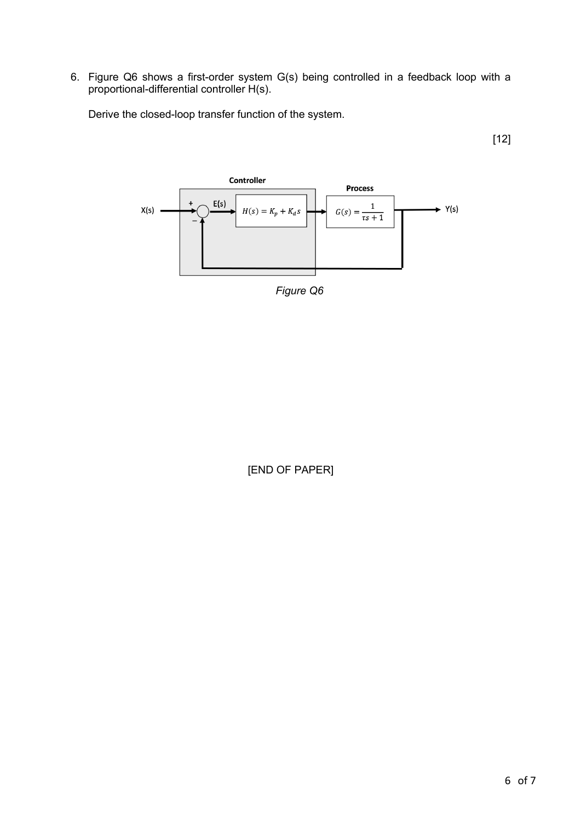6. Figure Q6 shows a first-order system G(s) being controlled in a feedback loop with a proportional-differential controller H(s).

Derive the closed-loop transfer function of the system.

[12]



*Figure Q6*

[END OF PAPER]